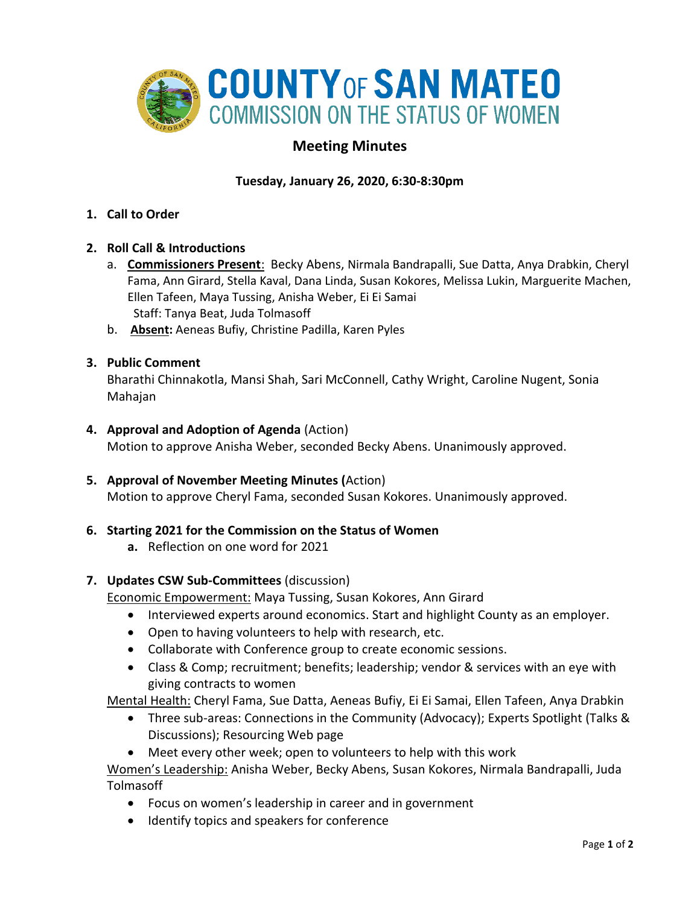

# **Meeting Minutes**

## **Tuesday, January 26, 2020, 6:30-8:30pm**

- **1. Call to Order**
- **2. Roll Call & Introductions** 
	- a. **Commissioners Present**: Becky Abens, Nirmala Bandrapalli, Sue Datta, Anya Drabkin, Cheryl Fama, Ann Girard, Stella Kaval, Dana Linda, Susan Kokores, Melissa Lukin, Marguerite Machen, Ellen Tafeen, Maya Tussing, Anisha Weber, Ei Ei Samai Staff: Tanya Beat, Juda Tolmasoff
	- b. **Absent:** Aeneas Bufiy, Christine Padilla, Karen Pyles

### **3. Public Comment**

Bharathi Chinnakotla, Mansi Shah, Sari McConnell, Cathy Wright, Caroline Nugent, Sonia Mahajan

- **4. Approval and Adoption of Agenda** (Action) Motion to approve Anisha Weber, seconded Becky Abens. Unanimously approved.
- **5. Approval of November Meeting Minutes (**Action) Motion to approve Cheryl Fama, seconded Susan Kokores. Unanimously approved.

### **6. Starting 2021 for the Commission on the Status of Women**

**a.** Reflection on one word for 2021

### **7. Updates CSW Sub-Committees** (discussion)

Economic Empowerment: Maya Tussing, Susan Kokores, Ann Girard

- Interviewed experts around economics. Start and highlight County as an employer.
- Open to having volunteers to help with research, etc.
- Collaborate with Conference group to create economic sessions.
- Class & Comp; recruitment; benefits; leadership; vendor & services with an eye with giving contracts to women

Mental Health: Cheryl Fama, Sue Datta, Aeneas Bufiy, Ei Ei Samai, Ellen Tafeen, Anya Drabkin

- Three sub-areas: Connections in the Community (Advocacy); Experts Spotlight (Talks & Discussions); Resourcing Web page
- Meet every other week; open to volunteers to help with this work

Women's Leadership: Anisha Weber, Becky Abens, Susan Kokores, Nirmala Bandrapalli, Juda Tolmasoff

- Focus on women's leadership in career and in government
- Identify topics and speakers for conference